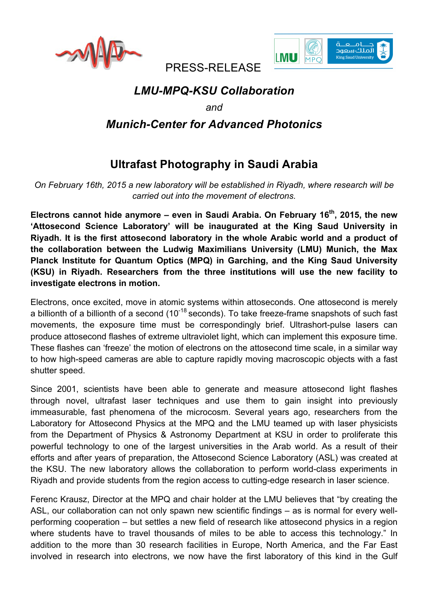



PRESS-RELEASE

# *LMU-MPQ-KSU Collaboration*

*and*

## *Munich-Center for Advanced Photonics*

# **Ultrafast Photography in Saudi Arabia**

*On February 16th, 2015 a new laboratory will be established in Riyadh, where research will be carried out into the movement of electrons.*

Electrons cannot hide anymore – even in Saudi Arabia. On February 16<sup>th</sup>, 2015, the new **'Attosecond Science Laboratory' will be inaugurated at the King Saud University in Riyadh. It is the first attosecond laboratory in the whole Arabic world and a product of the collaboration between the Ludwig Maximilians University (LMU) Munich, the Max Planck Institute for Quantum Optics (MPQ) in Garching, and the King Saud University (KSU) in Riyadh. Researchers from the three institutions will use the new facility to investigate electrons in motion.**

Electrons, once excited, move in atomic systems within attoseconds. One attosecond is merely a billionth of a billionth of a second  $(10^{-18}$  seconds). To take freeze-frame snapshots of such fast movements, the exposure time must be correspondingly brief. Ultrashort-pulse lasers can produce attosecond flashes of extreme ultraviolet light, which can implement this exposure time. These flashes can 'freeze' the motion of electrons on the attosecond time scale, in a similar way to how high-speed cameras are able to capture rapidly moving macroscopic objects with a fast shutter speed.

Since 2001, scientists have been able to generate and measure attosecond light flashes through novel, ultrafast laser techniques and use them to gain insight into previously immeasurable, fast phenomena of the microcosm. Several years ago, researchers from the Laboratory for Attosecond Physics at the MPQ and the LMU teamed up with laser physicists from the Department of Physics & Astronomy Department at KSU in order to proliferate this powerful technology to one of the largest universities in the Arab world. As a result of their efforts and after years of preparation, the Attosecond Science Laboratory (ASL) was created at the KSU. The new laboratory allows the collaboration to perform world-class experiments in Riyadh and provide students from the region access to cutting-edge research in laser science.

Ferenc Krausz, Director at the MPQ and chair holder at the LMU believes that "by creating the ASL, our collaboration can not only spawn new scientific findings – as is normal for every wellperforming cooperation – but settles a new field of research like attosecond physics in a region where students have to travel thousands of miles to be able to access this technology." In addition to the more than 30 research facilities in Europe, North America, and the Far East involved in research into electrons, we now have the first laboratory of this kind in the Gulf